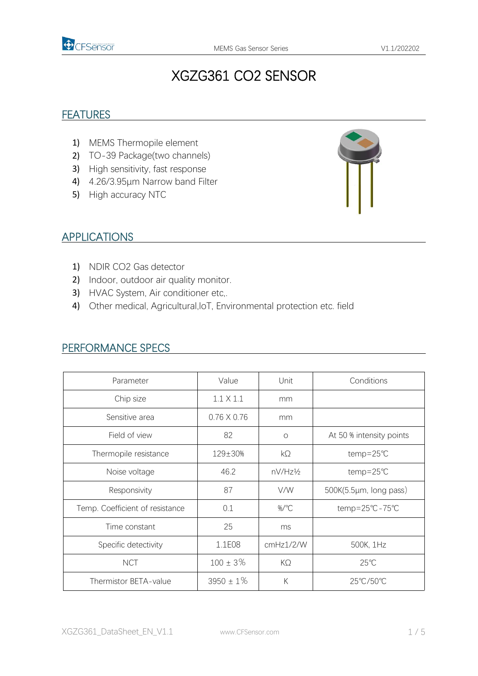

# XGZG361 CO2 SENSOR

#### **FEATURES**

- 1) MEMS Thermopile element
- 2) TO-39 Package(two channels)
- 3) High sensitivity, fast response
- 4) 4.26/3.95μm Narrow band Filter
- 5) High accuracy NTC



#### APPLICATIONS

- 1) NDIR CO2 Gas detector
- 2) Indoor, outdoor air quality monitor.
- 3) HVAC System, Air conditioner etc,.
- 4) Other medical, Agricultural, IoT, Environmental protection etc. field

| Parameter                       | Value              | Unit      | Conditions               |  |
|---------------------------------|--------------------|-----------|--------------------------|--|
| Chip size                       | $1.1 \times 1.1$   | mm        |                          |  |
| Sensitive area                  | $0.76 \times 0.76$ | mm        |                          |  |
| Field of view                   | 82                 | $\circ$   | At 50 % intensity points |  |
| Thermopile resistance           | 129±30%            | $k\Omega$ | $temp = 25^{\circ}C$     |  |
| Noise voltage                   | 46.2               | nV/Hz½    | temp=25℃                 |  |
| Responsivity                    | 87                 | V/W       | 500K(5.5µm, long pass)   |  |
| Temp. Coefficient of resistance | 0.1                | %/°C      | temp=25°C-75°C           |  |
| Time constant                   | 25                 | ms        |                          |  |
| Specific detectivity            | 1.1E08             | cmHz1/2/W | 500K, 1Hz                |  |
| <b>NCT</b>                      | $100 \pm 3\%$      | $K\Omega$ | $25^{\circ}$ C           |  |
| Thermistor BETA-value           | $3950 \pm 1\%$     | К         | 25°C/50°C                |  |

#### PERFORMANCE SPECS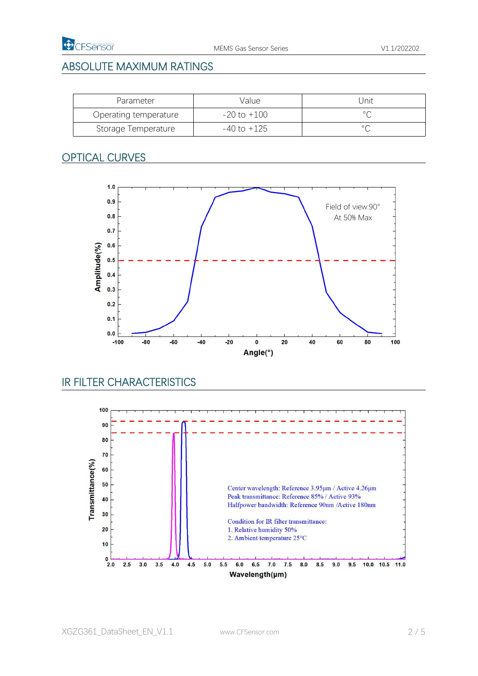### ABSOLUTE MAXIMUM RATINGS

| Parameter             | Value           | Jnit           |
|-----------------------|-----------------|----------------|
| Operating temperature | $-20$ to $+100$ |                |
| Storage Temperature   | $-40$ to $+125$ | $\circ$ $\sim$ |

#### OPTICAL CURVES



# IR FILTER CHARACTERISTICS

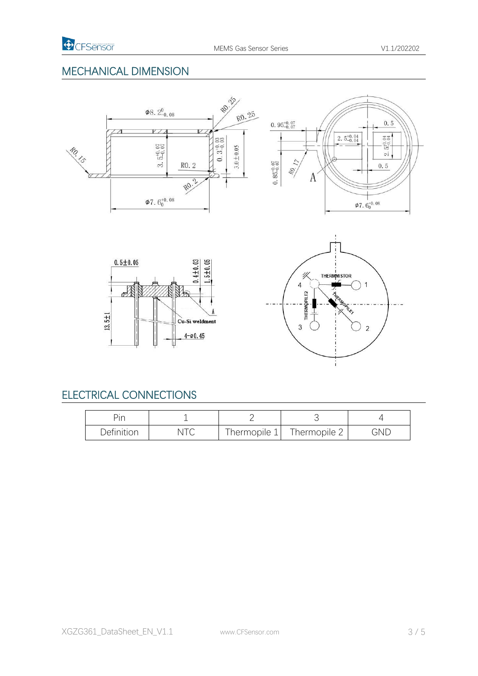#### MECHANICAL DIMENSION







# ELECTRICAL CONNECTIONS

| ŗ.<br>$\overline{\phantom{a}}$ |     |              |              |     |
|--------------------------------|-----|--------------|--------------|-----|
| Definition                     | NIU | Thermopile 1 | Thermopile 2 | GND |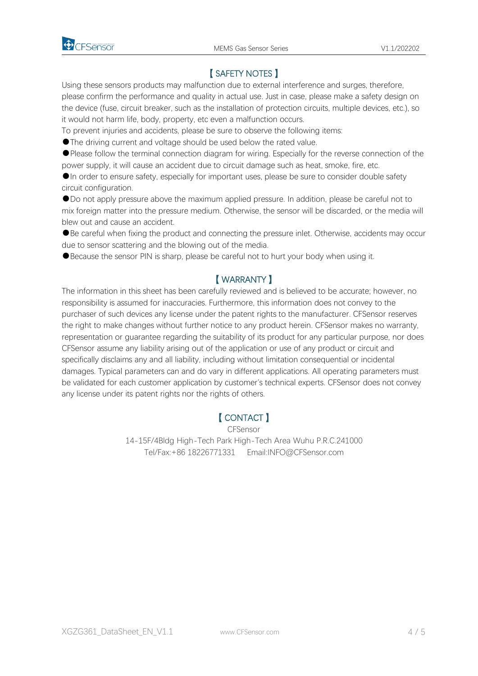

### 【 SAFETY NOTES 】

Using these sensors products may malfunction due to external interference and surges, therefore, please confirm the performance and quality in actual use. Just in case, please make a safety design on the device (fuse, circuit breaker, such as the installation of protection circuits, multiple devices, etc.), so it would not harm life, body, property, etc even a malfunction occurs.

To prevent injuries and accidents, please be sure to observe the following items:

●The driving current and voltage should be used below the rated value.

●Please follow the terminal connection diagram for wiring. Especially for the reverse connection of the power supply, it will cause an accident due to circuit damage such as heat, smoke, fire, etc.

●In order to ensure safety, especially for important uses, please be sure to consider double safety circuit configuration.

●Do not apply pressure above the maximum applied pressure. In addition, please be careful not to mix foreign matter into the pressure medium. Otherwise, the sensor will be discarded, or the media will

blew out and cause an accident.<br>●Be careful when fixing the product and connecting the pressure inlet. Otherwise, accidents may occur due to sensor scattering and the blowing out of the media.

●Because the sensor PIN is sharp, please be careful not to hurt your body when using it.

#### 【 WARRANTY 】

The information in this sheet has been carefully reviewed and is believed to be accurate; however, no responsibility is assumed for inaccuracies. Furthermore, this information does not convey to the purchaser of such devices any license under the patent rights to the manufacturer. CFSensor reserves the right to make changes without further notice to any product herein. CFSensor makes no warranty, representation or guarantee regarding the suitability of its product for any particular purpose, nor does CFSensor assume any liability arising out of the application or use of any product or circuit and specifically disclaims any and all liability, including without limitation consequential or incidental damages. Typical parameters can and do vary in different applications. All operating parameters must be validated for each customer application by customer's technical experts. CFSensor does notconvey any license under its patent rights nor the rights of others.

#### 【 CONTACT 】

CFSensor 14-15F/4Bldg High-Tech Park High-Tech Area Wuhu P.R.C.241000 Tel/Fax:+86 18226771331 Email:INFO@CFSensor.com